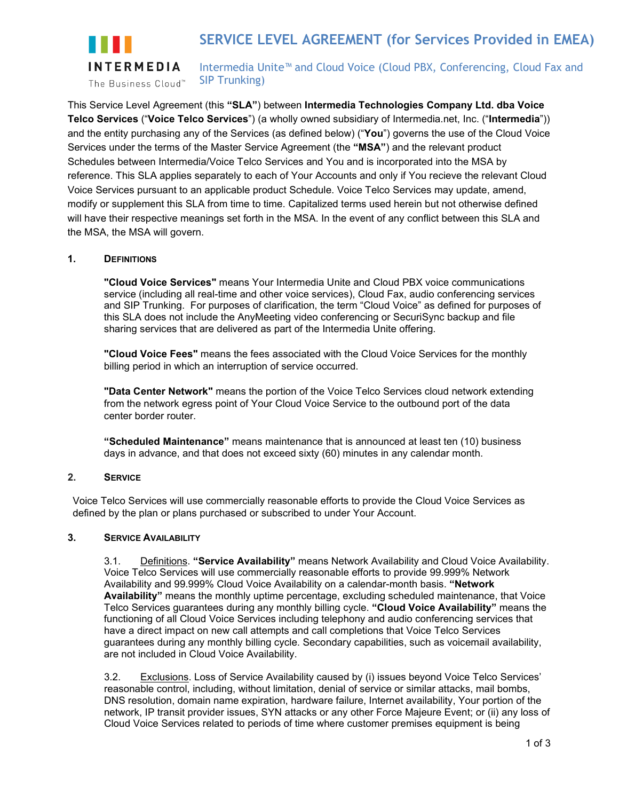

Intermedia Unite™ and Cloud Voice (Cloud PBX, Conferencing, Cloud Fax and SIP Trunking)

This Service Level Agreement (this **"SLA"**) between **Intermedia Technologies Company Ltd. dba Voice Telco Services** ("**Voice Telco Services**") (a wholly owned subsidiary of Intermedia.net, Inc. ("**Intermedia**")) and the entity purchasing any of the Services (as defined below) ("**You**") governs the use of the Cloud Voice Services under the terms of the Master Service Agreement (the **"MSA"**) and the relevant product Schedules between Intermedia/Voice Telco Services and You and is incorporated into the MSA by reference. This SLA applies separately to each of Your Accounts and only if You recieve the relevant Cloud Voice Services pursuant to an applicable product Schedule. Voice Telco Services may update, amend, modify or supplement this SLA from time to time. Capitalized terms used herein but not otherwise defined will have their respective meanings set forth in the MSA. In the event of any conflict between this SLA and the MSA, the MSA will govern.

## **1. DEFINITIONS**

**"Cloud Voice Services"** means Your Intermedia Unite and Cloud PBX voice communications service (including all real-time and other voice services), Cloud Fax, audio conferencing services and SIP Trunking. For purposes of clarification, the term "Cloud Voice" as defined for purposes of this SLA does not include the AnyMeeting video conferencing or SecuriSync backup and file sharing services that are delivered as part of the Intermedia Unite offering.

**"Cloud Voice Fees"** means the fees associated with the Cloud Voice Services for the monthly billing period in which an interruption of service occurred.

**"Data Center Network"** means the portion of the Voice Telco Services cloud network extending from the network egress point of Your Cloud Voice Service to the outbound port of the data center border router.

**"Scheduled Maintenance"** means maintenance that is announced at least ten (10) business days in advance, and that does not exceed sixty (60) minutes in any calendar month.

## **2. SERVICE**

Voice Telco Services will use commercially reasonable efforts to provide the Cloud Voice Services as defined by the plan or plans purchased or subscribed to under Your Account.

## **3. SERVICE AVAILABILITY**

3.1. Definitions. **"Service Availability"** means Network Availability and Cloud Voice Availability. Voice Telco Services will use commercially reasonable efforts to provide 99.999% Network Availability and 99.999% Cloud Voice Availability on a calendar-month basis. **"Network Availability"** means the monthly uptime percentage, excluding scheduled maintenance, that Voice Telco Services guarantees during any monthly billing cycle. **"Cloud Voice Availability"** means the functioning of all Cloud Voice Services including telephony and audio conferencing services that have a direct impact on new call attempts and call completions that Voice Telco Services guarantees during any monthly billing cycle. Secondary capabilities, such as voicemail availability, are not included in Cloud Voice Availability.

3.2. Exclusions. Loss of Service Availability caused by (i) issues beyond Voice Telco Services' reasonable control, including, without limitation, denial of service or similar attacks, mail bombs, DNS resolution, domain name expiration, hardware failure, Internet availability, Your portion of the network, IP transit provider issues, SYN attacks or any other Force Majeure Event; or (ii) any loss of Cloud Voice Services related to periods of time where customer premises equipment is being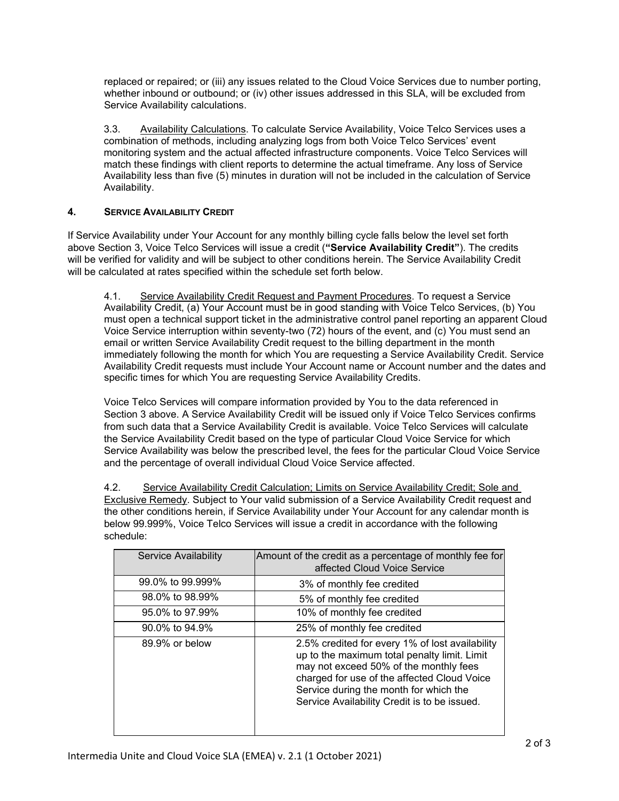replaced or repaired; or (iii) any issues related to the Cloud Voice Services due to number porting, whether inbound or outbound; or (iv) other issues addressed in this SLA, will be excluded from Service Availability calculations.

3.3. Availability Calculations. To calculate Service Availability, Voice Telco Services uses a combination of methods, including analyzing logs from both Voice Telco Services' event monitoring system and the actual affected infrastructure components. Voice Telco Services will match these findings with client reports to determine the actual timeframe. Any loss of Service Availability less than five (5) minutes in duration will not be included in the calculation of Service Availability.

# **4. SERVICE AVAILABILITY CREDIT**

If Service Availability under Your Account for any monthly billing cycle falls below the level set forth above Section 3, Voice Telco Services will issue a credit (**"Service Availability Credit"**). The credits will be verified for validity and will be subject to other conditions herein. The Service Availability Credit will be calculated at rates specified within the schedule set forth below.

4.1. Service Availability Credit Request and Payment Procedures. To request a Service Availability Credit, (a) Your Account must be in good standing with Voice Telco Services, (b) You must open a technical support ticket in the administrative control panel reporting an apparent Cloud Voice Service interruption within seventy-two (72) hours of the event, and (c) You must send an email or written Service Availability Credit request to the billing department in the month immediately following the month for which You are requesting a Service Availability Credit. Service Availability Credit requests must include Your Account name or Account number and the dates and specific times for which You are requesting Service Availability Credits.

Voice Telco Services will compare information provided by You to the data referenced in Section 3 above. A Service Availability Credit will be issued only if Voice Telco Services confirms from such data that a Service Availability Credit is available. Voice Telco Services will calculate the Service Availability Credit based on the type of particular Cloud Voice Service for which Service Availability was below the prescribed level, the fees for the particular Cloud Voice Service and the percentage of overall individual Cloud Voice Service affected.

4.2. Service Availability Credit Calculation; Limits on Service Availability Credit; Sole and Exclusive Remedy. Subject to Your valid submission of a Service Availability Credit request and the other conditions herein, if Service Availability under Your Account for any calendar month is below 99.999%, Voice Telco Services will issue a credit in accordance with the following schedule:

| Service Availability | Amount of the credit as a percentage of monthly fee for<br>affected Cloud Voice Service                                                                                                                                                                                            |
|----------------------|------------------------------------------------------------------------------------------------------------------------------------------------------------------------------------------------------------------------------------------------------------------------------------|
| 99.0% to 99.999%     | 3% of monthly fee credited                                                                                                                                                                                                                                                         |
| 98.0% to 98.99%      | 5% of monthly fee credited                                                                                                                                                                                                                                                         |
| 95.0% to 97.99%      | 10% of monthly fee credited                                                                                                                                                                                                                                                        |
| 90.0% to 94.9%       | 25% of monthly fee credited                                                                                                                                                                                                                                                        |
| 89.9% or below       | 2.5% credited for every 1% of lost availability<br>up to the maximum total penalty limit. Limit<br>may not exceed 50% of the monthly fees<br>charged for use of the affected Cloud Voice<br>Service during the month for which the<br>Service Availability Credit is to be issued. |